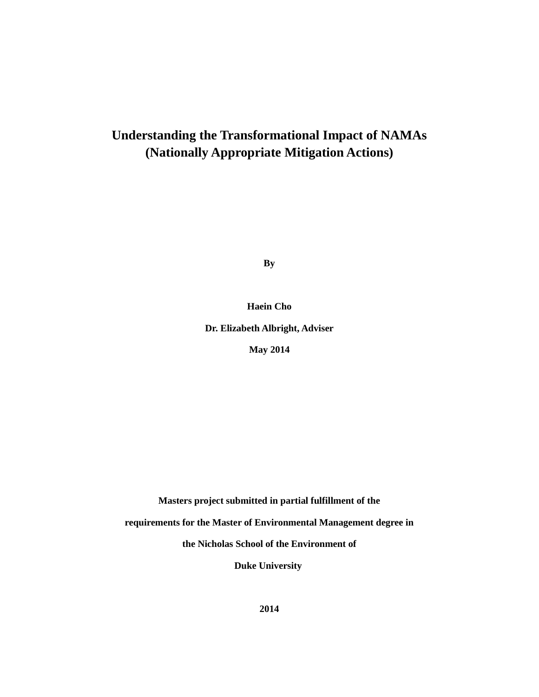# **Understanding the Transformational Impact of NAMAs (Nationally Appropriate Mitigation Actions)**

**By**

**Haein Cho**

**Dr. Elizabeth Albright, Adviser**

**May 2014**

**Masters project submitted in partial fulfillment of the**

**requirements for the Master of Environmental Management degree in**

**the Nicholas School of the Environment of**

**Duke University**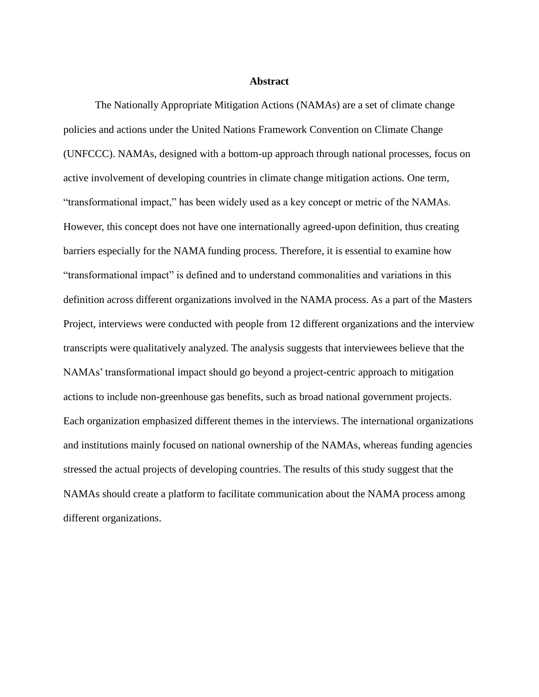#### **Abstract**

The Nationally Appropriate Mitigation Actions (NAMAs) are a set of climate change policies and actions under the United Nations Framework Convention on Climate Change (UNFCCC). NAMAs, designed with a bottom-up approach through national processes, focus on active involvement of developing countries in climate change mitigation actions. One term, "transformational impact," has been widely used as a key concept or metric of the NAMAs. However, this concept does not have one internationally agreed-upon definition, thus creating barriers especially for the NAMA funding process. Therefore, it is essential to examine how "transformational impact" is defined and to understand commonalities and variations in this definition across different organizations involved in the NAMA process. As a part of the Masters Project, interviews were conducted with people from 12 different organizations and the interview transcripts were qualitatively analyzed. The analysis suggests that interviewees believe that the NAMAs' transformational impact should go beyond a project-centric approach to mitigation actions to include non-greenhouse gas benefits, such as broad national government projects. Each organization emphasized different themes in the interviews. The international organizations and institutions mainly focused on national ownership of the NAMAs, whereas funding agencies stressed the actual projects of developing countries. The results of this study suggest that the NAMAs should create a platform to facilitate communication about the NAMA process among different organizations.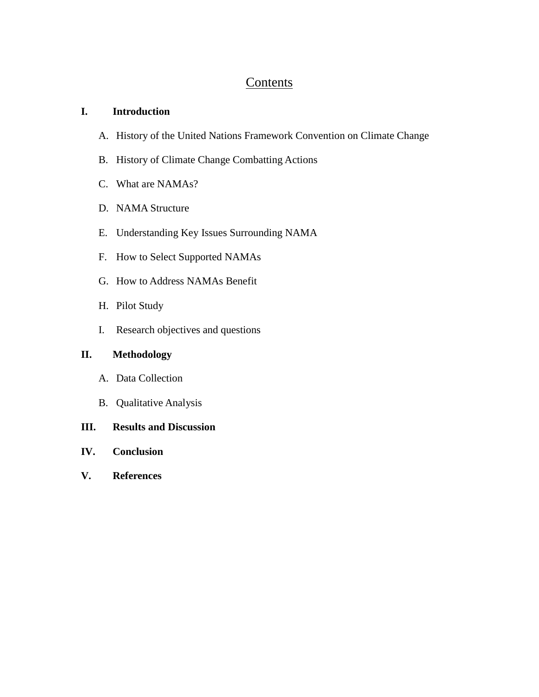## **Contents**

## **I. Introduction**

- A. History of the United Nations Framework Convention on Climate Change
- B. History of Climate Change Combatting Actions
- C. What are NAMAs?
- D. NAMA Structure
- E. Understanding Key Issues Surrounding NAMA
- F. How to Select Supported NAMAs
- G. How to Address NAMAs Benefit
- H. Pilot Study
- I. Research objectives and questions

## **II. Methodology**

- A. Data Collection
- B. Qualitative Analysis
- **III. Results and Discussion**
- **IV. Conclusion**
- **V. References**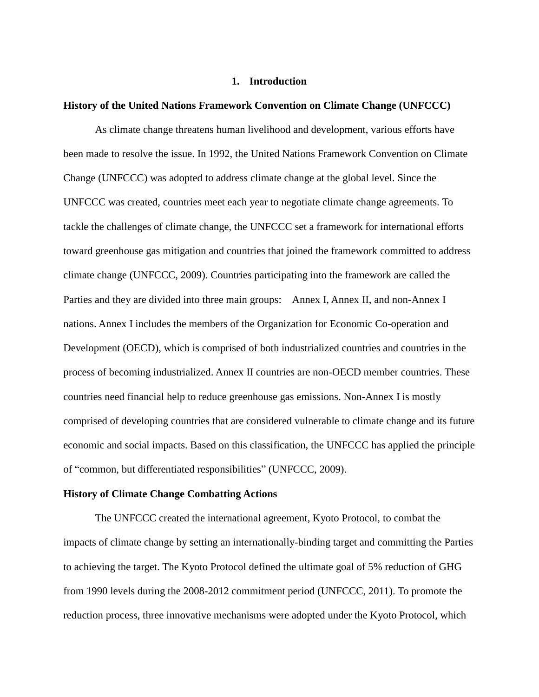#### **1. Introduction**

#### **History of the United Nations Framework Convention on Climate Change (UNFCCC)**

As climate change threatens human livelihood and development, various efforts have been made to resolve the issue. In 1992, the United Nations Framework Convention on Climate Change (UNFCCC) was adopted to address climate change at the global level. Since the UNFCCC was created, countries meet each year to negotiate climate change agreements. To tackle the challenges of climate change, the UNFCCC set a framework for international efforts toward greenhouse gas mitigation and countries that joined the framework committed to address climate change (UNFCCC, 2009). Countries participating into the framework are called the Parties and they are divided into three main groups: Annex I, Annex II, and non-Annex I nations. Annex I includes the members of the Organization for Economic Co-operation and Development (OECD), which is comprised of both industrialized countries and countries in the process of becoming industrialized. Annex II countries are non-OECD member countries. These countries need financial help to reduce greenhouse gas emissions. Non-Annex I is mostly comprised of developing countries that are considered vulnerable to climate change and its future economic and social impacts. Based on this classification, the UNFCCC has applied the principle of "common, but differentiated responsibilities" (UNFCCC, 2009).

#### **History of Climate Change Combatting Actions**

The UNFCCC created the international agreement, Kyoto Protocol, to combat the impacts of climate change by setting an internationally-binding target and committing the Parties to achieving the target. The Kyoto Protocol defined the ultimate goal of 5% reduction of GHG from 1990 levels during the 2008-2012 commitment period (UNFCCC, 2011). To promote the reduction process, three innovative mechanisms were adopted under the Kyoto Protocol, which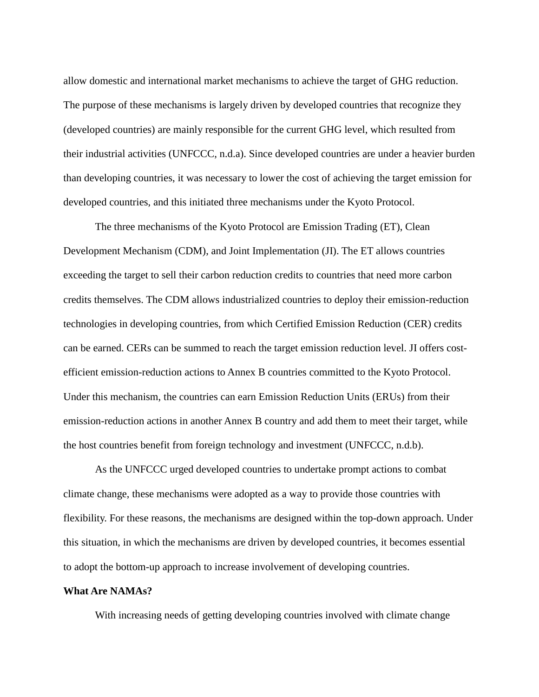allow domestic and international market mechanisms to achieve the target of GHG reduction. The purpose of these mechanisms is largely driven by developed countries that recognize they (developed countries) are mainly responsible for the current GHG level, which resulted from their industrial activities (UNFCCC, n.d.a). Since developed countries are under a heavier burden than developing countries, it was necessary to lower the cost of achieving the target emission for developed countries, and this initiated three mechanisms under the Kyoto Protocol.

The three mechanisms of the Kyoto Protocol are Emission Trading (ET), Clean Development Mechanism (CDM), and Joint Implementation (JI). The ET allows countries exceeding the target to sell their carbon reduction credits to countries that need more carbon credits themselves. The CDM allows industrialized countries to deploy their emission-reduction technologies in developing countries, from which Certified Emission Reduction (CER) credits can be earned. CERs can be summed to reach the target emission reduction level. JI offers costefficient emission-reduction actions to Annex B countries committed to the Kyoto Protocol. Under this mechanism, the countries can earn Emission Reduction Units (ERUs) from their emission-reduction actions in another Annex B country and add them to meet their target, while the host countries benefit from foreign technology and investment (UNFCCC, n.d.b).

As the UNFCCC urged developed countries to undertake prompt actions to combat climate change, these mechanisms were adopted as a way to provide those countries with flexibility. For these reasons, the mechanisms are designed within the top-down approach. Under this situation, in which the mechanisms are driven by developed countries, it becomes essential to adopt the bottom-up approach to increase involvement of developing countries.

#### **What Are NAMAs?**

With increasing needs of getting developing countries involved with climate change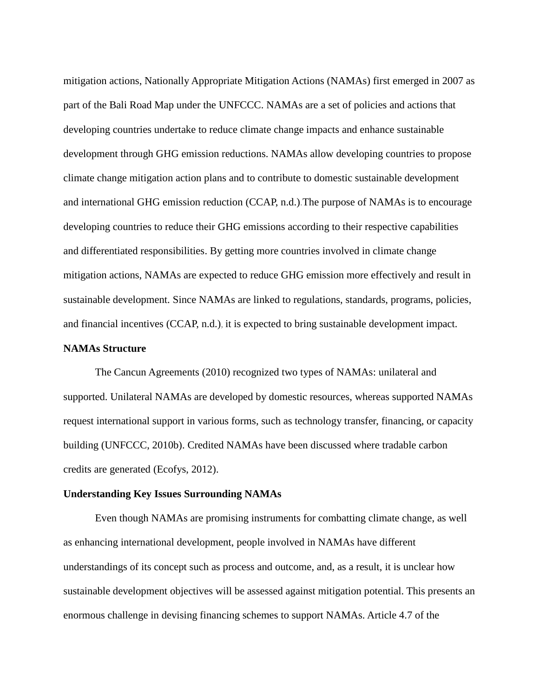mitigation actions, Nationally Appropriate Mitigation Actions (NAMAs) first emerged in 2007 as part of the Bali Road Map under the UNFCCC. NAMAs are a set of policies and actions that developing countries undertake to reduce climate change impacts and enhance sustainable development through GHG emission reductions. NAMAs allow developing countries to propose climate change mitigation action plans and to contribute to domestic sustainable development and international GHG emission reduction (CCAP, n.d.).The purpose of NAMAs is to encourage developing countries to reduce their GHG emissions according to their respective capabilities and differentiated responsibilities. By getting more countries involved in climate change mitigation actions, NAMAs are expected to reduce GHG emission more effectively and result in sustainable development. Since NAMAs are linked to regulations, standards, programs, policies, and financial incentives (CCAP, n.d.), it is expected to bring sustainable development impact.

#### **NAMAs Structure**

The Cancun Agreements (2010) recognized two types of NAMAs: unilateral and supported. Unilateral NAMAs are developed by domestic resources, whereas supported NAMAs request international support in various forms, such as technology transfer, financing, or capacity building (UNFCCC, 2010b). Credited NAMAs have been discussed where tradable carbon credits are generated (Ecofys, 2012).

## **Understanding Key Issues Surrounding NAMAs**

Even though NAMAs are promising instruments for combatting climate change, as well as enhancing international development, people involved in NAMAs have different understandings of its concept such as process and outcome, and, as a result, it is unclear how sustainable development objectives will be assessed against mitigation potential. This presents an enormous challenge in devising financing schemes to support NAMAs. Article 4.7 of the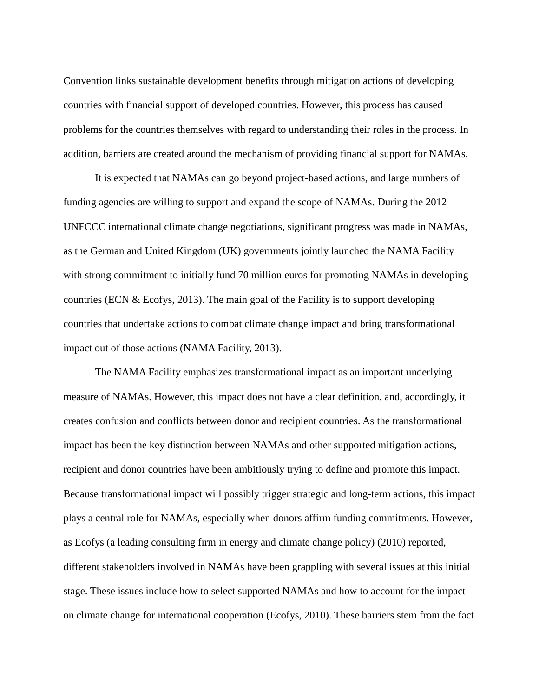Convention links sustainable development benefits through mitigation actions of developing countries with financial support of developed countries. However, this process has caused problems for the countries themselves with regard to understanding their roles in the process. In addition, barriers are created around the mechanism of providing financial support for NAMAs.

It is expected that NAMAs can go beyond project-based actions, and large numbers of funding agencies are willing to support and expand the scope of NAMAs. During the 2012 UNFCCC international climate change negotiations, significant progress was made in NAMAs, as the German and United Kingdom (UK) governments jointly launched the NAMA Facility with strong commitment to initially fund 70 million euros for promoting NAMAs in developing countries (ECN & Ecofys, 2013). The main goal of the Facility is to support developing countries that undertake actions to combat climate change impact and bring transformational impact out of those actions (NAMA Facility, 2013).

The NAMA Facility emphasizes transformational impact as an important underlying measure of NAMAs. However, this impact does not have a clear definition, and, accordingly, it creates confusion and conflicts between donor and recipient countries. As the transformational impact has been the key distinction between NAMAs and other supported mitigation actions, recipient and donor countries have been ambitiously trying to define and promote this impact. Because transformational impact will possibly trigger strategic and long-term actions, this impact plays a central role for NAMAs, especially when donors affirm funding commitments. However, as Ecofys (a leading consulting firm in energy and climate change policy) (2010) reported, different stakeholders involved in NAMAs have been grappling with several issues at this initial stage. These issues include how to select supported NAMAs and how to account for the impact on climate change for international cooperation (Ecofys, 2010). These barriers stem from the fact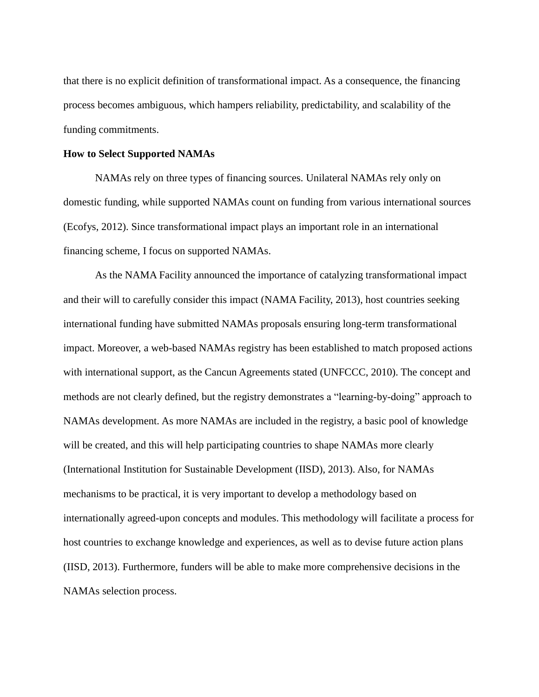that there is no explicit definition of transformational impact. As a consequence, the financing process becomes ambiguous, which hampers reliability, predictability, and scalability of the funding commitments.

#### **How to Select Supported NAMAs**

NAMAs rely on three types of financing sources. Unilateral NAMAs rely only on domestic funding, while supported NAMAs count on funding from various international sources (Ecofys, 2012). Since transformational impact plays an important role in an international financing scheme, I focus on supported NAMAs.

As the NAMA Facility announced the importance of catalyzing transformational impact and their will to carefully consider this impact (NAMA Facility, 2013), host countries seeking international funding have submitted NAMAs proposals ensuring long-term transformational impact. Moreover, a web-based NAMAs registry has been established to match proposed actions with international support, as the Cancun Agreements stated (UNFCCC, 2010). The concept and methods are not clearly defined, but the registry demonstrates a "learning-by-doing" approach to NAMAs development. As more NAMAs are included in the registry, a basic pool of knowledge will be created, and this will help participating countries to shape NAMAs more clearly (International Institution for Sustainable Development (IISD), 2013). Also, for NAMAs mechanisms to be practical, it is very important to develop a methodology based on internationally agreed-upon concepts and modules. This methodology will facilitate a process for host countries to exchange knowledge and experiences, as well as to devise future action plans (IISD, 2013). Furthermore, funders will be able to make more comprehensive decisions in the NAMAs selection process.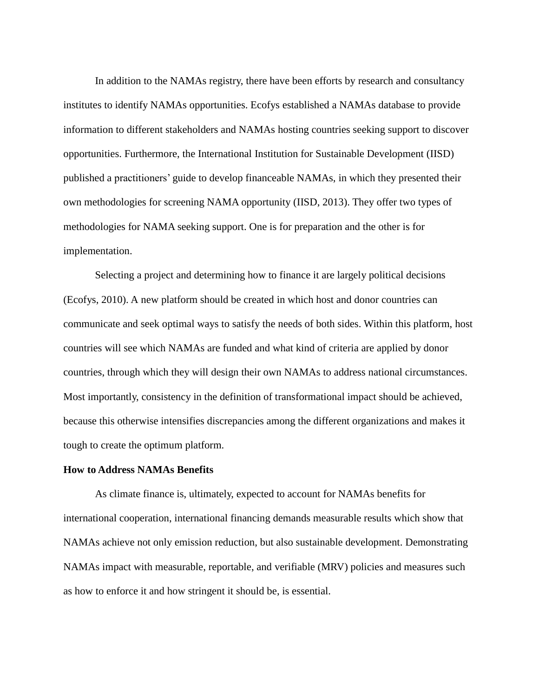In addition to the NAMAs registry, there have been efforts by research and consultancy institutes to identify NAMAs opportunities. Ecofys established a NAMAs database to provide information to different stakeholders and NAMAs hosting countries seeking support to discover opportunities. Furthermore, the International Institution for Sustainable Development (IISD) published a practitioners' guide to develop financeable NAMAs, in which they presented their own methodologies for screening NAMA opportunity (IISD, 2013). They offer two types of methodologies for NAMA seeking support. One is for preparation and the other is for implementation.

Selecting a project and determining how to finance it are largely political decisions (Ecofys, 2010). A new platform should be created in which host and donor countries can communicate and seek optimal ways to satisfy the needs of both sides. Within this platform, host countries will see which NAMAs are funded and what kind of criteria are applied by donor countries, through which they will design their own NAMAs to address national circumstances. Most importantly, consistency in the definition of transformational impact should be achieved, because this otherwise intensifies discrepancies among the different organizations and makes it tough to create the optimum platform.

#### **How to Address NAMAs Benefits**

As climate finance is, ultimately, expected to account for NAMAs benefits for international cooperation, international financing demands measurable results which show that NAMAs achieve not only emission reduction, but also sustainable development. Demonstrating NAMAs impact with measurable, reportable, and verifiable (MRV) policies and measures such as how to enforce it and how stringent it should be, is essential.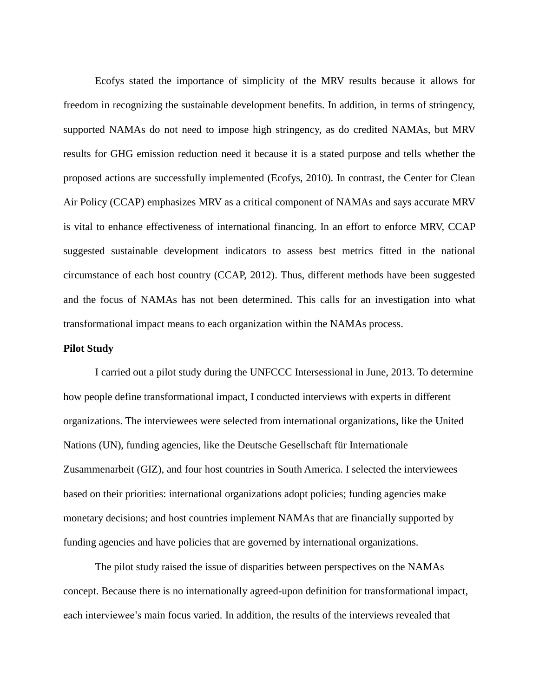Ecofys stated the importance of simplicity of the MRV results because it allows for freedom in recognizing the sustainable development benefits. In addition, in terms of stringency, supported NAMAs do not need to impose high stringency, as do credited NAMAs, but MRV results for GHG emission reduction need it because it is a stated purpose and tells whether the proposed actions are successfully implemented (Ecofys, 2010). In contrast, the Center for Clean Air Policy (CCAP) emphasizes MRV as a critical component of NAMAs and says accurate MRV is vital to enhance effectiveness of international financing. In an effort to enforce MRV, CCAP suggested sustainable development indicators to assess best metrics fitted in the national circumstance of each host country (CCAP, 2012). Thus, different methods have been suggested and the focus of NAMAs has not been determined. This calls for an investigation into what transformational impact means to each organization within the NAMAs process.

#### **Pilot Study**

I carried out a pilot study during the UNFCCC Intersessional in June, 2013. To determine how people define transformational impact, I conducted interviews with experts in different organizations. The interviewees were selected from international organizations, like the United Nations (UN), funding agencies, like the Deutsche Gesellschaft für Internationale Zusammenarbeit (GIZ), and four host countries in South America. I selected the interviewees based on their priorities: international organizations adopt policies; funding agencies make monetary decisions; and host countries implement NAMAs that are financially supported by funding agencies and have policies that are governed by international organizations.

The pilot study raised the issue of disparities between perspectives on the NAMAs concept. Because there is no internationally agreed-upon definition for transformational impact, each interviewee's main focus varied. In addition, the results of the interviews revealed that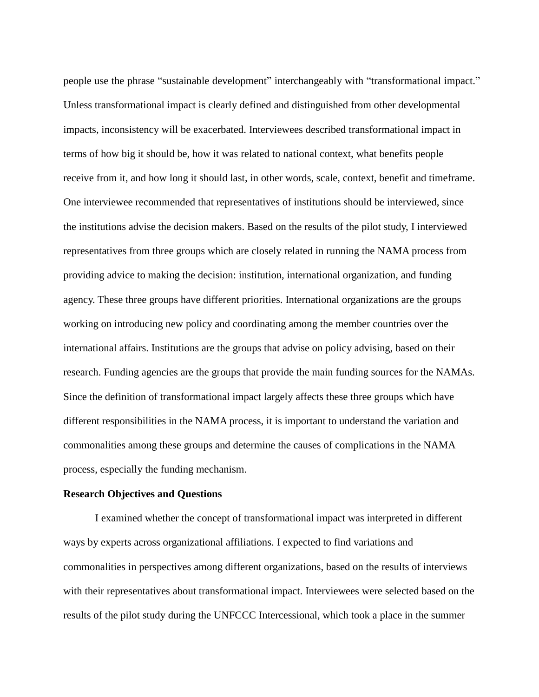people use the phrase "sustainable development" interchangeably with "transformational impact." Unless transformational impact is clearly defined and distinguished from other developmental impacts, inconsistency will be exacerbated. Interviewees described transformational impact in terms of how big it should be, how it was related to national context, what benefits people receive from it, and how long it should last, in other words, scale, context, benefit and timeframe. One interviewee recommended that representatives of institutions should be interviewed, since the institutions advise the decision makers. Based on the results of the pilot study, I interviewed representatives from three groups which are closely related in running the NAMA process from providing advice to making the decision: institution, international organization, and funding agency. These three groups have different priorities. International organizations are the groups working on introducing new policy and coordinating among the member countries over the international affairs. Institutions are the groups that advise on policy advising, based on their research. Funding agencies are the groups that provide the main funding sources for the NAMAs. Since the definition of transformational impact largely affects these three groups which have different responsibilities in the NAMA process, it is important to understand the variation and commonalities among these groups and determine the causes of complications in the NAMA process, especially the funding mechanism.

#### **Research Objectives and Questions**

I examined whether the concept of transformational impact was interpreted in different ways by experts across organizational affiliations. I expected to find variations and commonalities in perspectives among different organizations, based on the results of interviews with their representatives about transformational impact. Interviewees were selected based on the results of the pilot study during the UNFCCC Intercessional, which took a place in the summer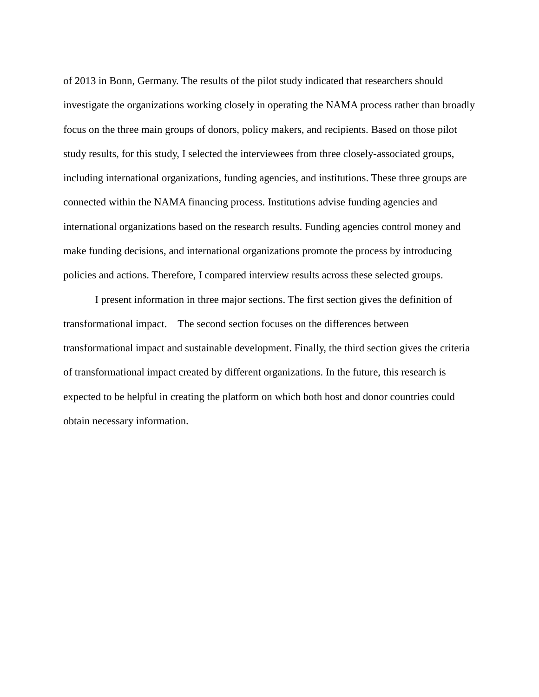of 2013 in Bonn, Germany. The results of the pilot study indicated that researchers should investigate the organizations working closely in operating the NAMA process rather than broadly focus on the three main groups of donors, policy makers, and recipients. Based on those pilot study results, for this study, I selected the interviewees from three closely-associated groups, including international organizations, funding agencies, and institutions. These three groups are connected within the NAMA financing process. Institutions advise funding agencies and international organizations based on the research results. Funding agencies control money and make funding decisions, and international organizations promote the process by introducing policies and actions. Therefore, I compared interview results across these selected groups.

I present information in three major sections. The first section gives the definition of transformational impact. The second section focuses on the differences between transformational impact and sustainable development. Finally, the third section gives the criteria of transformational impact created by different organizations. In the future, this research is expected to be helpful in creating the platform on which both host and donor countries could obtain necessary information.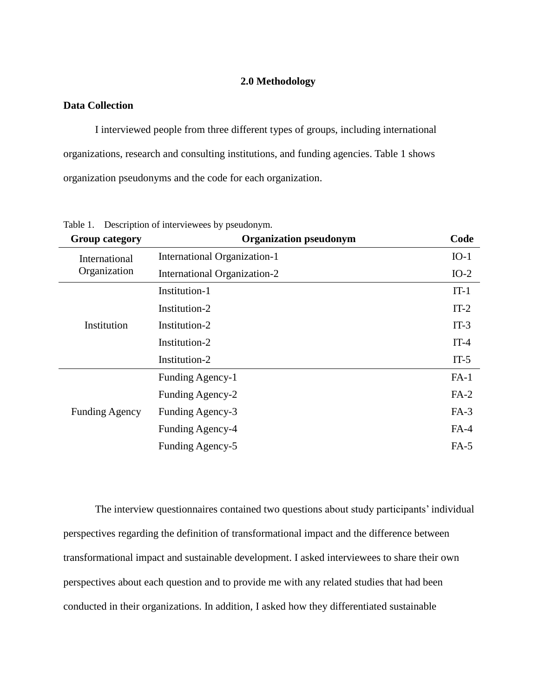#### **2.0 Methodology**

#### **Data Collection**

I interviewed people from three different types of groups, including international organizations, research and consulting institutions, and funding agencies. Table 1 shows organization pseudonyms and the code for each organization.

| <b>Group category</b> | <b>Organization pseudonym</b> | Code   |
|-----------------------|-------------------------------|--------|
| International         | International Organization-1  | $IO-1$ |
| Organization          | International Organization-2  | $IO-2$ |
|                       | Institution-1                 | $IT-1$ |
|                       | Institution-2                 | $IT-2$ |
| Institution           | Institution-2                 | $IT-3$ |
|                       | Institution-2                 | $IT-4$ |
|                       | Institution-2                 | $IT-5$ |
|                       | Funding Agency-1              | $FA-1$ |
|                       | Funding Agency-2              | $FA-2$ |
| <b>Funding Agency</b> | Funding Agency-3              | $FA-3$ |
|                       | Funding Agency-4              | $FA-4$ |
|                       | Funding Agency-5              | $FA-5$ |

Table 1. Description of interviewees by pseudonym.

The interview questionnaires contained two questions about study participants' individual perspectives regarding the definition of transformational impact and the difference between transformational impact and sustainable development. I asked interviewees to share their own perspectives about each question and to provide me with any related studies that had been conducted in their organizations. In addition, I asked how they differentiated sustainable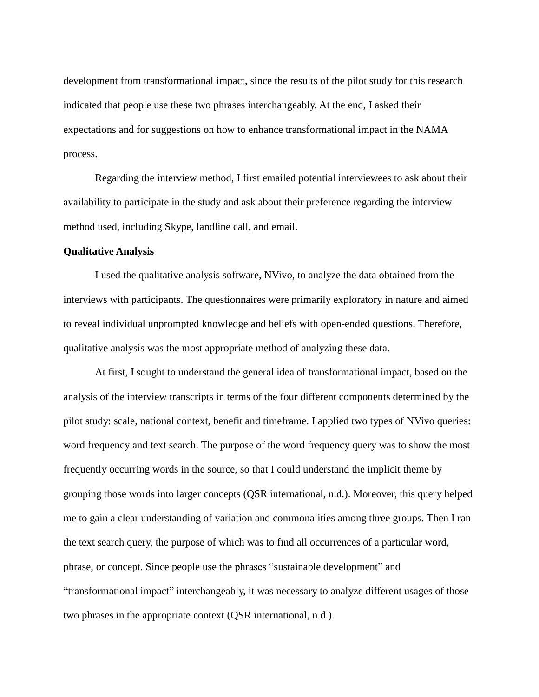development from transformational impact, since the results of the pilot study for this research indicated that people use these two phrases interchangeably. At the end, I asked their expectations and for suggestions on how to enhance transformational impact in the NAMA process.

Regarding the interview method, I first emailed potential interviewees to ask about their availability to participate in the study and ask about their preference regarding the interview method used, including Skype, landline call, and email.

#### **Qualitative Analysis**

I used the qualitative analysis software, NVivo, to analyze the data obtained from the interviews with participants. The questionnaires were primarily exploratory in nature and aimed to reveal individual unprompted knowledge and beliefs with open-ended questions. Therefore, qualitative analysis was the most appropriate method of analyzing these data.

At first, I sought to understand the general idea of transformational impact, based on the analysis of the interview transcripts in terms of the four different components determined by the pilot study: scale, national context, benefit and timeframe. I applied two types of NVivo queries: word frequency and text search. The purpose of the word frequency query was to show the most frequently occurring words in the source, so that I could understand the implicit theme by grouping those words into larger concepts (QSR international, n.d.). Moreover, this query helped me to gain a clear understanding of variation and commonalities among three groups. Then I ran the text search query, the purpose of which was to find all occurrences of a particular word, phrase, or concept. Since people use the phrases "sustainable development" and "transformational impact" interchangeably, it was necessary to analyze different usages of those two phrases in the appropriate context (QSR international, n.d.).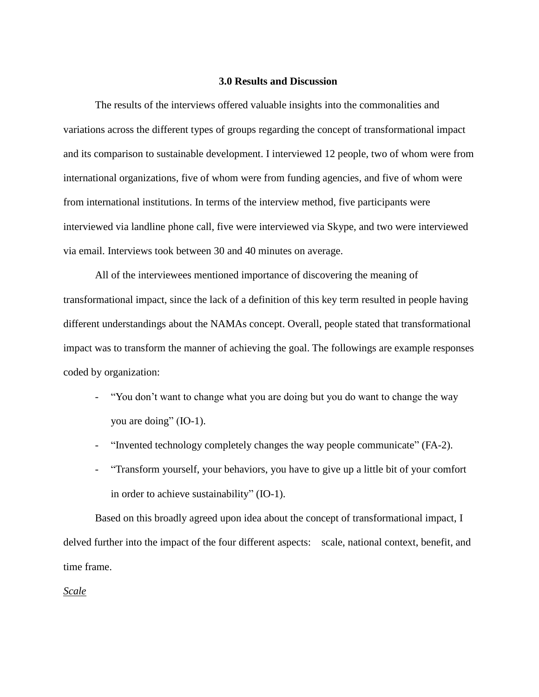#### **3.0 Results and Discussion**

The results of the interviews offered valuable insights into the commonalities and variations across the different types of groups regarding the concept of transformational impact and its comparison to sustainable development. I interviewed 12 people, two of whom were from international organizations, five of whom were from funding agencies, and five of whom were from international institutions. In terms of the interview method, five participants were interviewed via landline phone call, five were interviewed via Skype, and two were interviewed via email. Interviews took between 30 and 40 minutes on average.

All of the interviewees mentioned importance of discovering the meaning of transformational impact, since the lack of a definition of this key term resulted in people having different understandings about the NAMAs concept. Overall, people stated that transformational impact was to transform the manner of achieving the goal. The followings are example responses coded by organization:

- "You don't want to change what you are doing but you do want to change the way you are doing" (IO-1).
- "Invented technology completely changes the way people communicate" (FA-2).
- "Transform yourself, your behaviors, you have to give up a little bit of your comfort in order to achieve sustainability" (IO-1).

Based on this broadly agreed upon idea about the concept of transformational impact, I delved further into the impact of the four different aspects: scale, national context, benefit, and time frame.

*Scale*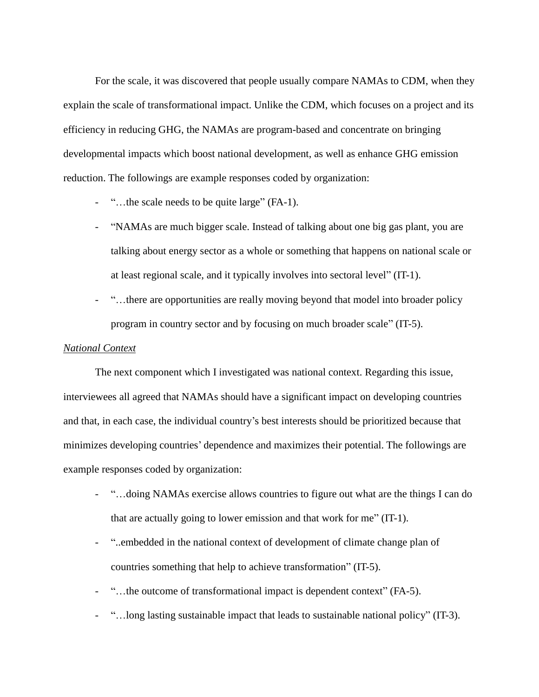For the scale, it was discovered that people usually compare NAMAs to CDM, when they explain the scale of transformational impact. Unlike the CDM, which focuses on a project and its efficiency in reducing GHG, the NAMAs are program-based and concentrate on bringing developmental impacts which boost national development, as well as enhance GHG emission reduction. The followings are example responses coded by organization:

- "…the scale needs to be quite large" (FA-1).
- "NAMAs are much bigger scale. Instead of talking about one big gas plant, you are talking about energy sector as a whole or something that happens on national scale or at least regional scale, and it typically involves into sectoral level" (IT-1).
- "...there are opportunities are really moving beyond that model into broader policy program in country sector and by focusing on much broader scale" (IT-5).

#### *National Context*

The next component which I investigated was national context. Regarding this issue, interviewees all agreed that NAMAs should have a significant impact on developing countries and that, in each case, the individual country's best interests should be prioritized because that minimizes developing countries' dependence and maximizes their potential. The followings are example responses coded by organization:

- "…doing NAMAs exercise allows countries to figure out what are the things I can do that are actually going to lower emission and that work for me" (IT-1).
- "..embedded in the national context of development of climate change plan of countries something that help to achieve transformation" (IT-5).
- "...the outcome of transformational impact is dependent context" (FA-5).
- "…long lasting sustainable impact that leads to sustainable national policy" (IT-3).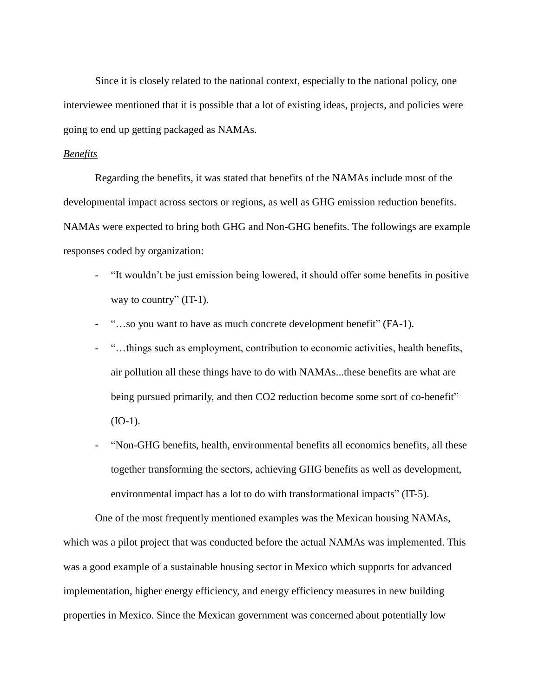Since it is closely related to the national context, especially to the national policy, one interviewee mentioned that it is possible that a lot of existing ideas, projects, and policies were going to end up getting packaged as NAMAs.

#### *Benefits*

Regarding the benefits, it was stated that benefits of the NAMAs include most of the developmental impact across sectors or regions, as well as GHG emission reduction benefits. NAMAs were expected to bring both GHG and Non-GHG benefits. The followings are example responses coded by organization:

- "It wouldn't be just emission being lowered, it should offer some benefits in positive way to country" (IT-1).
- "…so you want to have as much concrete development benefit" (FA-1).
- "…things such as employment, contribution to economic activities, health benefits, air pollution all these things have to do with NAMAs...these benefits are what are being pursued primarily, and then CO2 reduction become some sort of co-benefit"  $(IO-1).$
- "Non-GHG benefits, health, environmental benefits all economics benefits, all these together transforming the sectors, achieving GHG benefits as well as development, environmental impact has a lot to do with transformational impacts" (IT-5).

One of the most frequently mentioned examples was the Mexican housing NAMAs, which was a pilot project that was conducted before the actual NAMAs was implemented. This was a good example of a sustainable housing sector in Mexico which supports for advanced implementation, higher energy efficiency, and energy efficiency measures in new building properties in Mexico. Since the Mexican government was concerned about potentially low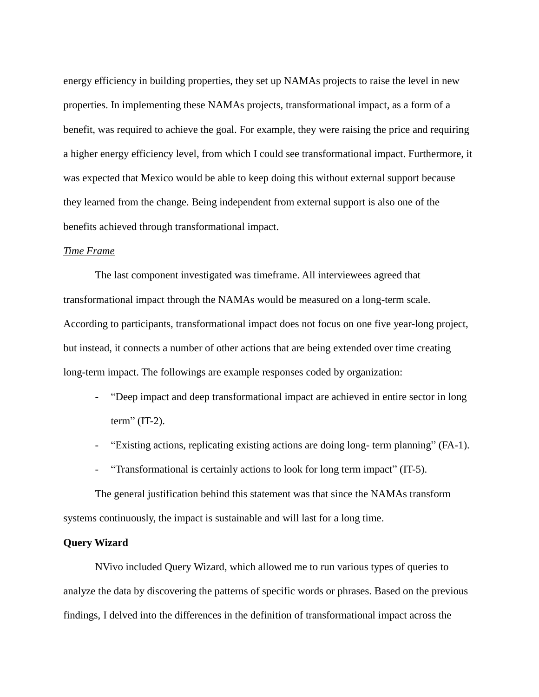energy efficiency in building properties, they set up NAMAs projects to raise the level in new properties. In implementing these NAMAs projects, transformational impact, as a form of a benefit, was required to achieve the goal. For example, they were raising the price and requiring a higher energy efficiency level, from which I could see transformational impact. Furthermore, it was expected that Mexico would be able to keep doing this without external support because they learned from the change. Being independent from external support is also one of the benefits achieved through transformational impact.

#### *Time Frame*

The last component investigated was timeframe. All interviewees agreed that transformational impact through the NAMAs would be measured on a long-term scale. According to participants, transformational impact does not focus on one five year-long project, but instead, it connects a number of other actions that are being extended over time creating long-term impact. The followings are example responses coded by organization:

- "Deep impact and deep transformational impact are achieved in entire sector in long term" (IT-2).
- "Existing actions, replicating existing actions are doing long- term planning" (FA-1).
- "Transformational is certainly actions to look for long term impact" (IT-5).

The general justification behind this statement was that since the NAMAs transform systems continuously, the impact is sustainable and will last for a long time.

## **Query Wizard**

NVivo included Query Wizard, which allowed me to run various types of queries to analyze the data by discovering the patterns of specific words or phrases. Based on the previous findings, I delved into the differences in the definition of transformational impact across the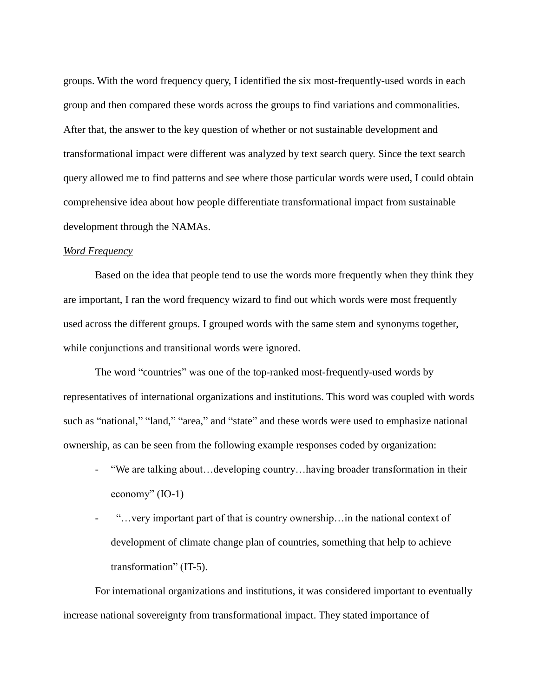groups. With the word frequency query, I identified the six most-frequently-used words in each group and then compared these words across the groups to find variations and commonalities. After that, the answer to the key question of whether or not sustainable development and transformational impact were different was analyzed by text search query. Since the text search query allowed me to find patterns and see where those particular words were used, I could obtain comprehensive idea about how people differentiate transformational impact from sustainable development through the NAMAs.

#### *Word Frequency*

Based on the idea that people tend to use the words more frequently when they think they are important, I ran the word frequency wizard to find out which words were most frequently used across the different groups. I grouped words with the same stem and synonyms together, while conjunctions and transitional words were ignored.

The word "countries" was one of the top-ranked most-frequently-used words by representatives of international organizations and institutions. This word was coupled with words such as "national," "land," "area," and "state" and these words were used to emphasize national ownership, as can be seen from the following example responses coded by organization:

- "We are talking about…developing country…having broader transformation in their economy" (IO-1)
- "... very important part of that is country ownership... in the national context of development of climate change plan of countries, something that help to achieve transformation" (IT-5).

For international organizations and institutions, it was considered important to eventually increase national sovereignty from transformational impact. They stated importance of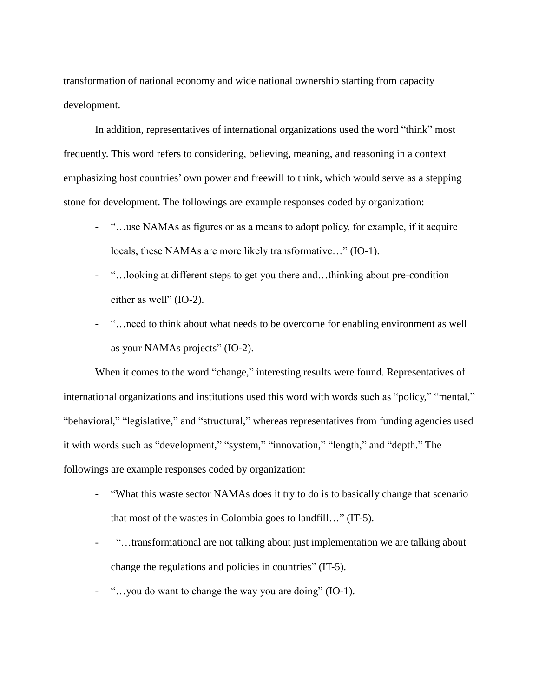transformation of national economy and wide national ownership starting from capacity development.

In addition, representatives of international organizations used the word "think" most frequently. This word refers to considering, believing, meaning, and reasoning in a context emphasizing host countries' own power and freewill to think, which would serve as a stepping stone for development. The followings are example responses coded by organization:

- "…use NAMAs as figures or as a means to adopt policy, for example, if it acquire locals, these NAMAs are more likely transformative…" (IO-1).
- "…looking at different steps to get you there and…thinking about pre-condition either as well" (IO-2).
- "…need to think about what needs to be overcome for enabling environment as well as your NAMAs projects" (IO-2).

When it comes to the word "change," interesting results were found. Representatives of international organizations and institutions used this word with words such as "policy," "mental," "behavioral," "legislative," and "structural," whereas representatives from funding agencies used it with words such as "development," "system," "innovation," "length," and "depth." The followings are example responses coded by organization:

- "What this waste sector NAMAs does it try to do is to basically change that scenario that most of the wastes in Colombia goes to landfill…" (IT-5).
- "...transformational are not talking about just implementation we are talking about change the regulations and policies in countries" (IT-5).
- "…you do want to change the way you are doing" (IO-1).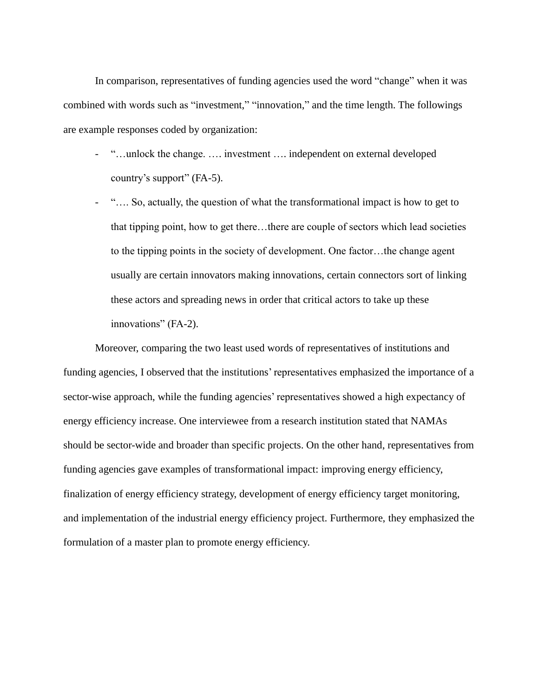In comparison, representatives of funding agencies used the word "change" when it was combined with words such as "investment," "innovation," and the time length. The followings are example responses coded by organization:

- "…unlock the change. …. investment …. independent on external developed country's support" (FA-5).
- "…. So, actually, the question of what the transformational impact is how to get to that tipping point, how to get there…there are couple of sectors which lead societies to the tipping points in the society of development. One factor…the change agent usually are certain innovators making innovations, certain connectors sort of linking these actors and spreading news in order that critical actors to take up these innovations" (FA-2).

Moreover, comparing the two least used words of representatives of institutions and funding agencies, I observed that the institutions' representatives emphasized the importance of a sector-wise approach, while the funding agencies' representatives showed a high expectancy of energy efficiency increase. One interviewee from a research institution stated that NAMAs should be sector-wide and broader than specific projects. On the other hand, representatives from funding agencies gave examples of transformational impact: improving energy efficiency, finalization of energy efficiency strategy, development of energy efficiency target monitoring, and implementation of the industrial energy efficiency project. Furthermore, they emphasized the formulation of a master plan to promote energy efficiency.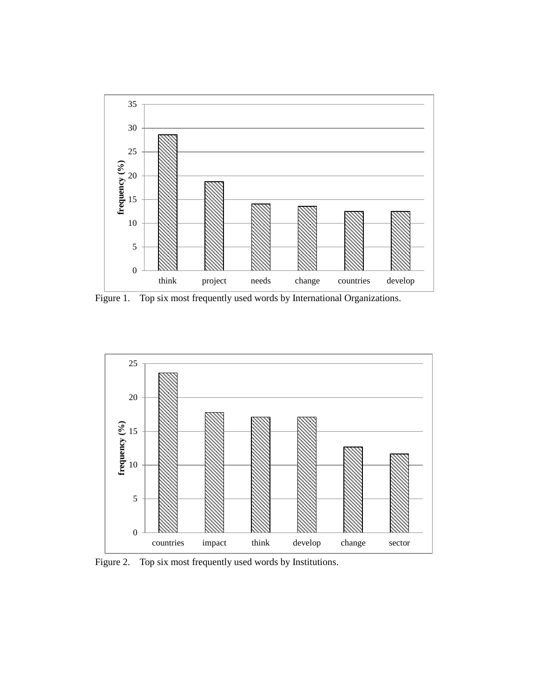

Figure 1. Top six most frequently used words by International Organizations.



Figure 2. Top six most frequently used words by Institutions.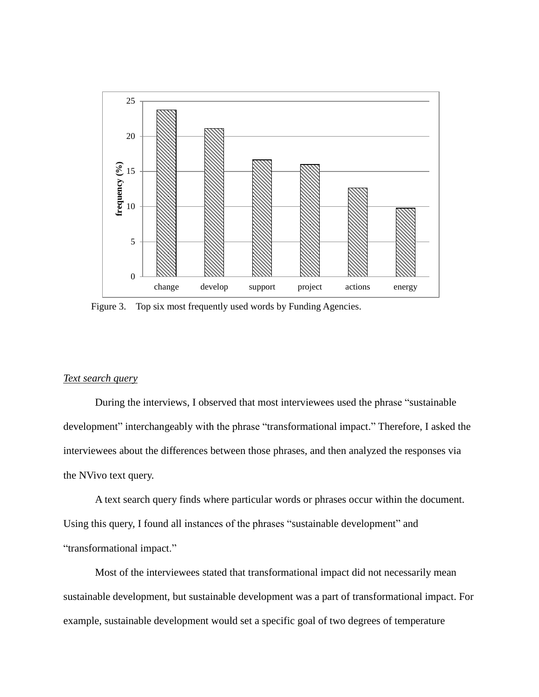

Figure 3. Top six most frequently used words by Funding Agencies.

## *Text search query*

During the interviews, I observed that most interviewees used the phrase "sustainable development" interchangeably with the phrase "transformational impact." Therefore, I asked the interviewees about the differences between those phrases, and then analyzed the responses via the NVivo text query.

A text search query finds where particular words or phrases occur within the document. Using this query, I found all instances of the phrases "sustainable development" and "transformational impact."

Most of the interviewees stated that transformational impact did not necessarily mean sustainable development, but sustainable development was a part of transformational impact. For example, sustainable development would set a specific goal of two degrees of temperature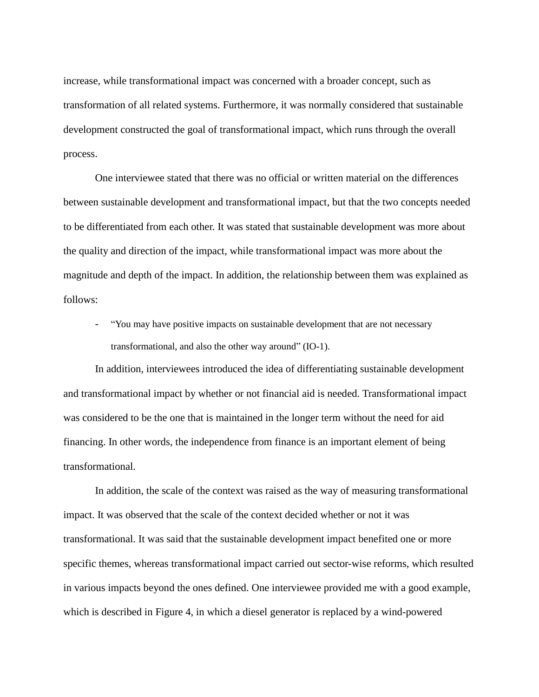increase, while transformational impact was concerned with a broader concept, such as transformation of all related systems. Furthermore, it was normally considered that sustainable development constructed the goal of transformational impact, which runs through the overall process.

One interviewee stated that there was no official or written material on the differences between sustainable development and transformational impact, but that the two concepts needed to be differentiated from each other. It was stated that sustainable development was more about the quality and direction of the impact, while transformational impact was more about the magnitude and depth of the impact. In addition, the relationship between them was explained as follows:

"You may have positive impacts on sustainable development that are not necessary transformational, and also the other way around" (IO-1).

In addition, interviewees introduced the idea of differentiating sustainable development and transformational impact by whether or not financial aid is needed. Transformational impact was considered to be the one that is maintained in the longer term without the need for aid financing. In other words, the independence from finance is an important element of being transformational.

In addition, the scale of the context was raised as the way of measuring transformational impact. It was observed that the scale of the context decided whether or not it was transformational. It was said that the sustainable development impact benefited one or more specific themes, whereas transformational impact carried out sector-wise reforms, which resulted in various impacts beyond the ones defined. One interviewee provided me with a good example, which is described in Figure 4, in which a diesel generator is replaced by a wind-powered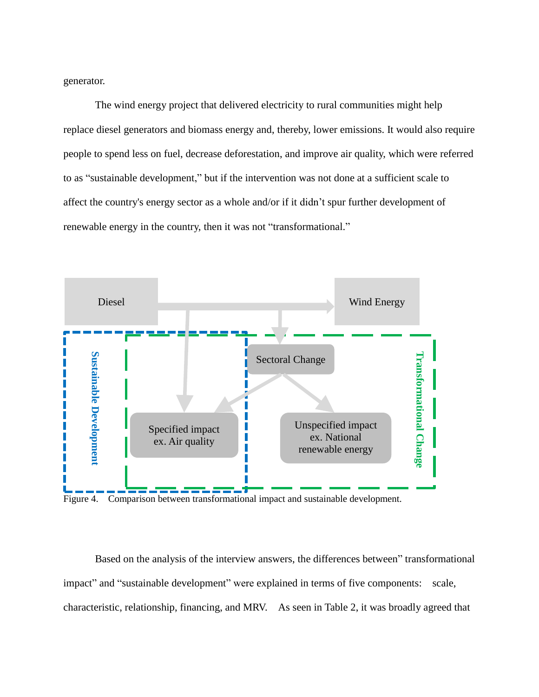generator.

The wind energy project that delivered electricity to rural communities might help replace diesel generators and biomass energy and, thereby, lower emissions. It would also require people to spend less on fuel, decrease deforestation, and improve air quality, which were referred to as "sustainable development," but if the intervention was not done at a sufficient scale to affect the country's energy sector as a whole and/or if it didn't spur further development of renewable energy in the country, then it was not "transformational."



Figure 4. Comparison between transformational impact and sustainable development.

Based on the analysis of the interview answers, the differences between" transformational impact" and "sustainable development" were explained in terms of five components: scale, characteristic, relationship, financing, and MRV. As seen in Table 2, it was broadly agreed that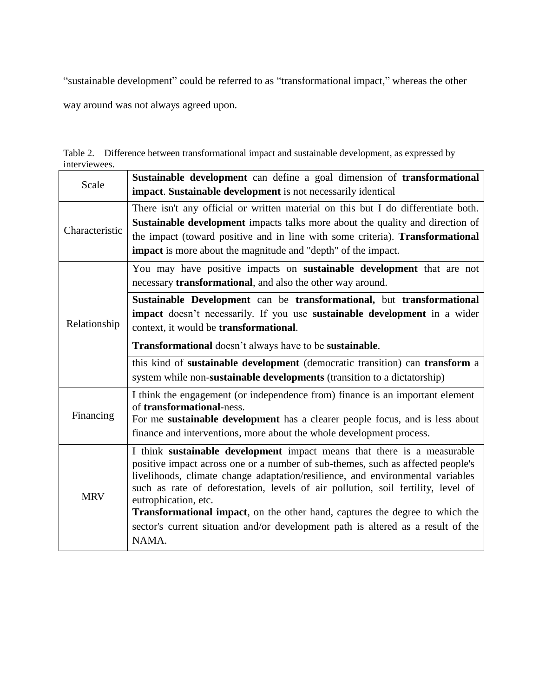"sustainable development" could be referred to as "transformational impact," whereas the other

way around was not always agreed upon.

|               | Table 2. Difference between transformational impact and sustainable development, as expressed by |
|---------------|--------------------------------------------------------------------------------------------------|
| interviewees. |                                                                                                  |

| Scale          | Sustainable development can define a goal dimension of transformational<br>impact. Sustainable development is not necessarily identical                                                                                                                                                                                                                                                                                                                                                                                                       |  |
|----------------|-----------------------------------------------------------------------------------------------------------------------------------------------------------------------------------------------------------------------------------------------------------------------------------------------------------------------------------------------------------------------------------------------------------------------------------------------------------------------------------------------------------------------------------------------|--|
| Characteristic | There isn't any official or written material on this but I do differentiate both.<br><b>Sustainable development</b> impacts talks more about the quality and direction of<br>the impact (toward positive and in line with some criteria). <b>Transformational</b><br><b>impact</b> is more about the magnitude and "depth" of the impact.                                                                                                                                                                                                     |  |
| Relationship   | You may have positive impacts on <b>sustainable development</b> that are not<br>necessary <b>transformational</b> , and also the other way around.                                                                                                                                                                                                                                                                                                                                                                                            |  |
|                | Sustainable Development can be transformational, but transformational<br>impact doesn't necessarily. If you use sustainable development in a wider<br>context, it would be transformational.                                                                                                                                                                                                                                                                                                                                                  |  |
|                | Transformational doesn't always have to be sustainable.                                                                                                                                                                                                                                                                                                                                                                                                                                                                                       |  |
|                | this kind of sustainable development (democratic transition) can transform a<br>system while non-sustainable developments (transition to a dictatorship)                                                                                                                                                                                                                                                                                                                                                                                      |  |
| Financing      | I think the engagement (or independence from) finance is an important element<br>of transformational-ness.<br>For me sustainable development has a clearer people focus, and is less about<br>finance and interventions, more about the whole development process.                                                                                                                                                                                                                                                                            |  |
| <b>MRV</b>     | I think sustainable development impact means that there is a measurable<br>positive impact across one or a number of sub-themes, such as affected people's<br>livelihoods, climate change adaptation/resilience, and environmental variables<br>such as rate of deforestation, levels of air pollution, soil fertility, level of<br>eutrophication, etc.<br><b>Transformational impact</b> , on the other hand, captures the degree to which the<br>sector's current situation and/or development path is altered as a result of the<br>NAMA. |  |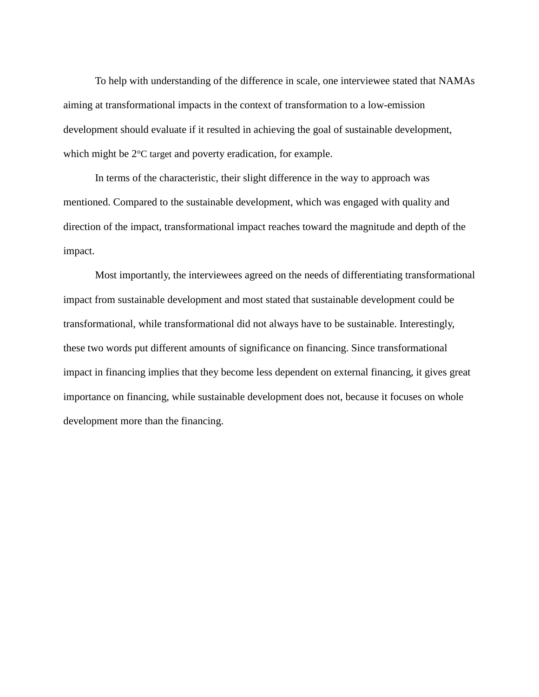To help with understanding of the difference in scale, one interviewee stated that NAMAs aiming at transformational impacts in the context of transformation to a low-emission development should evaluate if it resulted in achieving the goal of sustainable development, which might be  $2^{\circ}$ C target and poverty eradication, for example.

In terms of the characteristic, their slight difference in the way to approach was mentioned. Compared to the sustainable development, which was engaged with quality and direction of the impact, transformational impact reaches toward the magnitude and depth of the impact.

Most importantly, the interviewees agreed on the needs of differentiating transformational impact from sustainable development and most stated that sustainable development could be transformational, while transformational did not always have to be sustainable. Interestingly, these two words put different amounts of significance on financing. Since transformational impact in financing implies that they become less dependent on external financing, it gives great importance on financing, while sustainable development does not, because it focuses on whole development more than the financing.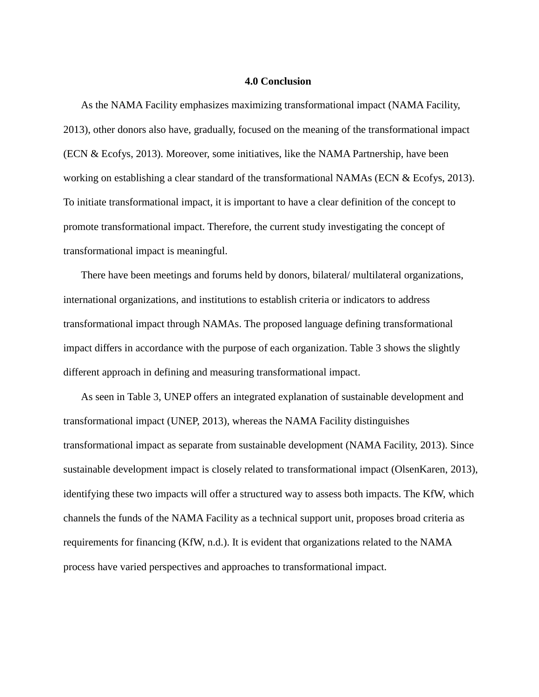#### **4.0 Conclusion**

As the NAMA Facility emphasizes maximizing transformational impact (NAMA Facility, 2013), other donors also have, gradually, focused on the meaning of the transformational impact (ECN & Ecofys, 2013). Moreover, some initiatives, like the NAMA Partnership, have been working on establishing a clear standard of the transformational NAMAs (ECN & Ecofys, 2013). To initiate transformational impact, it is important to have a clear definition of the concept to promote transformational impact. Therefore, the current study investigating the concept of transformational impact is meaningful.

There have been meetings and forums held by donors, bilateral/ multilateral organizations, international organizations, and institutions to establish criteria or indicators to address transformational impact through NAMAs. The proposed language defining transformational impact differs in accordance with the purpose of each organization. Table 3 shows the slightly different approach in defining and measuring transformational impact.

As seen in Table 3, UNEP offers an integrated explanation of sustainable development and transformational impact (UNEP, 2013), whereas the NAMA Facility distinguishes transformational impact as separate from sustainable development (NAMA Facility, 2013). Since sustainable development impact is closely related to transformational impact (OlsenKaren, 2013), identifying these two impacts will offer a structured way to assess both impacts. The KfW, which channels the funds of the NAMA Facility as a technical support unit, proposes broad criteria as requirements for financing (KfW, n.d.). It is evident that organizations related to the NAMA process have varied perspectives and approaches to transformational impact.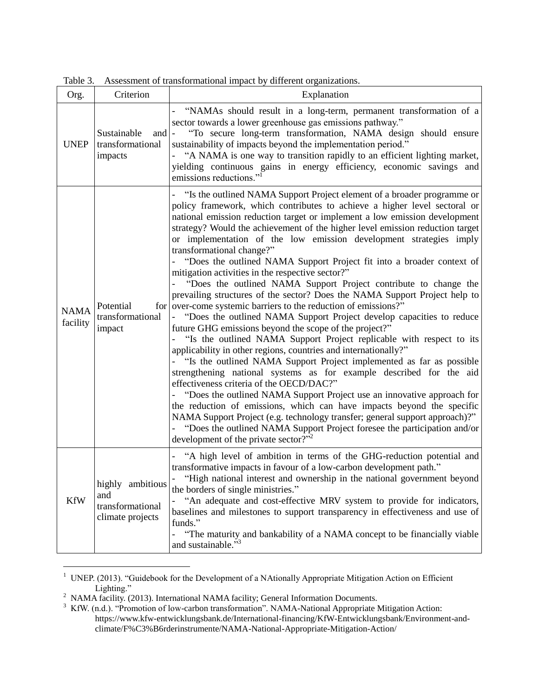| LAUIC J.                |                                                                 | Assessment of transformational impact by unferent organizations.                                                                                                                                                                                                                                                                                                                                                                                                                                                                                                                                                                                                                                                                                                                                                                                                                                                                                                                                                                                                                                                                                                                                                                                                                                                                                                                                                                                                                                                                                                                                                      |
|-------------------------|-----------------------------------------------------------------|-----------------------------------------------------------------------------------------------------------------------------------------------------------------------------------------------------------------------------------------------------------------------------------------------------------------------------------------------------------------------------------------------------------------------------------------------------------------------------------------------------------------------------------------------------------------------------------------------------------------------------------------------------------------------------------------------------------------------------------------------------------------------------------------------------------------------------------------------------------------------------------------------------------------------------------------------------------------------------------------------------------------------------------------------------------------------------------------------------------------------------------------------------------------------------------------------------------------------------------------------------------------------------------------------------------------------------------------------------------------------------------------------------------------------------------------------------------------------------------------------------------------------------------------------------------------------------------------------------------------------|
| Org.                    | Criterion                                                       | Explanation                                                                                                                                                                                                                                                                                                                                                                                                                                                                                                                                                                                                                                                                                                                                                                                                                                                                                                                                                                                                                                                                                                                                                                                                                                                                                                                                                                                                                                                                                                                                                                                                           |
| <b>UNEP</b>             | Sustainable<br>and $\vert$ -<br>transformational<br>impacts     | "NAMAs should result in a long-term, permanent transformation of a<br>sector towards a lower greenhouse gas emissions pathway."<br>"To secure long-term transformation, NAMA design should ensure<br>sustainability of impacts beyond the implementation period."<br>"A NAMA is one way to transition rapidly to an efficient lighting market,<br>yielding continuous gains in energy efficiency, economic savings and<br>emissions reductions." <sup>1</sup>                                                                                                                                                                                                                                                                                                                                                                                                                                                                                                                                                                                                                                                                                                                                                                                                                                                                                                                                                                                                                                                                                                                                                         |
| <b>NAMA</b><br>facility | Potential<br>transformational<br>impact                         | "Is the outlined NAMA Support Project element of a broader programme or<br>policy framework, which contributes to achieve a higher level sectoral or<br>national emission reduction target or implement a low emission development<br>strategy? Would the achievement of the higher level emission reduction target<br>or implementation of the low emission development strategies imply<br>transformational change?"<br>"Does the outlined NAMA Support Project fit into a broader context of<br>mitigation activities in the respective sector?"<br>"Does the outlined NAMA Support Project contribute to change the<br>prevailing structures of the sector? Does the NAMA Support Project help to<br>for over-come systemic barriers to the reduction of emissions?"<br>- "Does the outlined NAMA Support Project develop capacities to reduce<br>future GHG emissions beyond the scope of the project?"<br>"Is the outlined NAMA Support Project replicable with respect to its<br>applicability in other regions, countries and internationally?"<br>"Is the outlined NAMA Support Project implemented as far as possible<br>strengthening national systems as for example described for the aid<br>effectiveness criteria of the OECD/DAC?"<br>"Does the outlined NAMA Support Project use an innovative approach for<br>the reduction of emissions, which can have impacts beyond the specific<br>NAMA Support Project (e.g. technology transfer; general support approach)?"<br>"Does the outlined NAMA Support Project foresee the participation and/or<br>development of the private sector?" <sup>2</sup> |
| <b>KfW</b>              | highly ambitious<br>and<br>transformational<br>climate projects | "A high level of ambition in terms of the GHG-reduction potential and<br>transformative impacts in favour of a low-carbon development path."<br>"High national interest and ownership in the national government beyond<br>the borders of single ministries."<br>"An adequate and cost-effective MRV system to provide for indicators,<br>$\frac{1}{2}$<br>baselines and milestones to support transparency in effectiveness and use of<br>funds."<br>"The maturity and bankability of a NAMA concept to be financially viable<br>and sustainable." <sup>3</sup>                                                                                                                                                                                                                                                                                                                                                                                                                                                                                                                                                                                                                                                                                                                                                                                                                                                                                                                                                                                                                                                      |

Table 3. Assessment of transformational impact by different organizations.

<sup>&</sup>lt;sup>1</sup> UNEP. (2013). "Guidebook for the Development of a NAtionally Appropriate Mitigation Action on Efficient Lighting."

 $2$  NAMA facility. (2013). International NAMA facility; General Information Documents.

 $3$  KfW. (n.d.). "Promotion of low-carbon transformation". NAMA-National Appropriate Mitigation Action: https://www.kfw-entwicklungsbank.de/International-financing/KfW-Entwicklungsbank/Environment-andclimate/F%C3%B6rderinstrumente/NAMA-National-Appropriate-Mitigation-Action/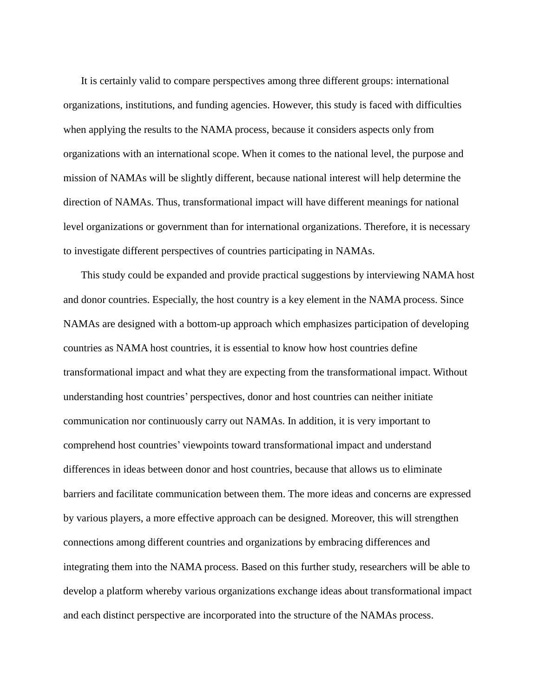It is certainly valid to compare perspectives among three different groups: international organizations, institutions, and funding agencies. However, this study is faced with difficulties when applying the results to the NAMA process, because it considers aspects only from organizations with an international scope. When it comes to the national level, the purpose and mission of NAMAs will be slightly different, because national interest will help determine the direction of NAMAs. Thus, transformational impact will have different meanings for national level organizations or government than for international organizations. Therefore, it is necessary to investigate different perspectives of countries participating in NAMAs.

This study could be expanded and provide practical suggestions by interviewing NAMA host and donor countries. Especially, the host country is a key element in the NAMA process. Since NAMAs are designed with a bottom-up approach which emphasizes participation of developing countries as NAMA host countries, it is essential to know how host countries define transformational impact and what they are expecting from the transformational impact. Without understanding host countries' perspectives, donor and host countries can neither initiate communication nor continuously carry out NAMAs. In addition, it is very important to comprehend host countries' viewpoints toward transformational impact and understand differences in ideas between donor and host countries, because that allows us to eliminate barriers and facilitate communication between them. The more ideas and concerns are expressed by various players, a more effective approach can be designed. Moreover, this will strengthen connections among different countries and organizations by embracing differences and integrating them into the NAMA process. Based on this further study, researchers will be able to develop a platform whereby various organizations exchange ideas about transformational impact and each distinct perspective are incorporated into the structure of the NAMAs process.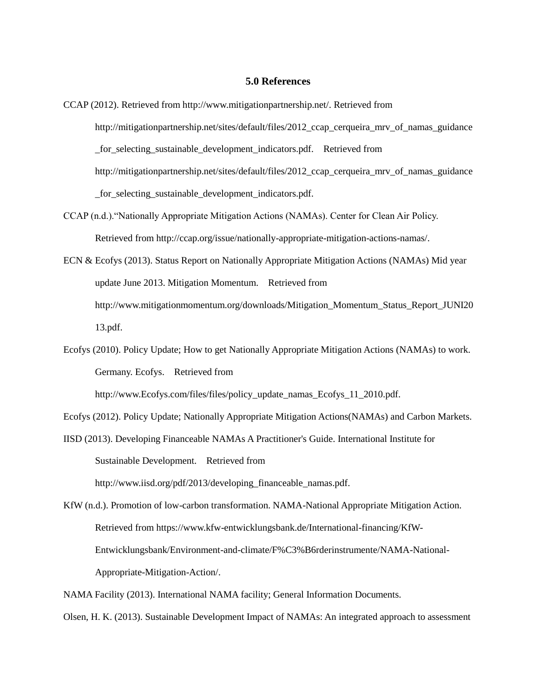#### **5.0 References**

- CCAP (2012). Retrieved from http://www.mitigationpartnership.net/. Retrieved from http://mitigationpartnership.net/sites/default/files/2012\_ccap\_cerqueira\_mrv\_of\_namas\_guidance \_for\_selecting\_sustainable\_development\_indicators.pdf. Retrieved from http://mitigationpartnership.net/sites/default/files/2012\_ccap\_cerqueira\_mrv\_of\_namas\_guidance \_for\_selecting\_sustainable\_development\_indicators.pdf.
- CCAP (n.d.)."Nationally Appropriate Mitigation Actions (NAMAs). Center for Clean Air Policy. Retrieved from http://ccap.org/issue/nationally-appropriate-mitigation-actions-namas/.
- ECN & Ecofys (2013). Status Report on Nationally Appropriate Mitigation Actions (NAMAs) Mid year update June 2013. Mitigation Momentum. Retrieved from http://www.mitigationmomentum.org/downloads/Mitigation\_Momentum\_Status\_Report\_JUNI20 13.pdf.
- Ecofys (2010). Policy Update; How to get Nationally Appropriate Mitigation Actions (NAMAs) to work. Germany. Ecofys. Retrieved from http://www.Ecofys.com/files/files/policy\_update\_namas\_Ecofys\_11\_2010.pdf.

Ecofys (2012). Policy Update; Nationally Appropriate Mitigation Actions(NAMAs) and Carbon Markets.

IISD (2013). Developing Financeable NAMAs A Practitioner's Guide. International Institute for Sustainable Development. Retrieved from http://www.iisd.org/pdf/2013/developing\_financeable\_namas.pdf.

KfW (n.d.). Promotion of low-carbon transformation. NAMA-National Appropriate Mitigation Action. Retrieved from https://www.kfw-entwicklungsbank.de/International-financing/KfW-Entwicklungsbank/Environment-and-climate/F%C3%B6rderinstrumente/NAMA-National-Appropriate-Mitigation-Action/.

NAMA Facility (2013). International NAMA facility; General Information Documents.

Olsen, H. K. (2013). Sustainable Development Impact of NAMAs: An integrated approach to assessment